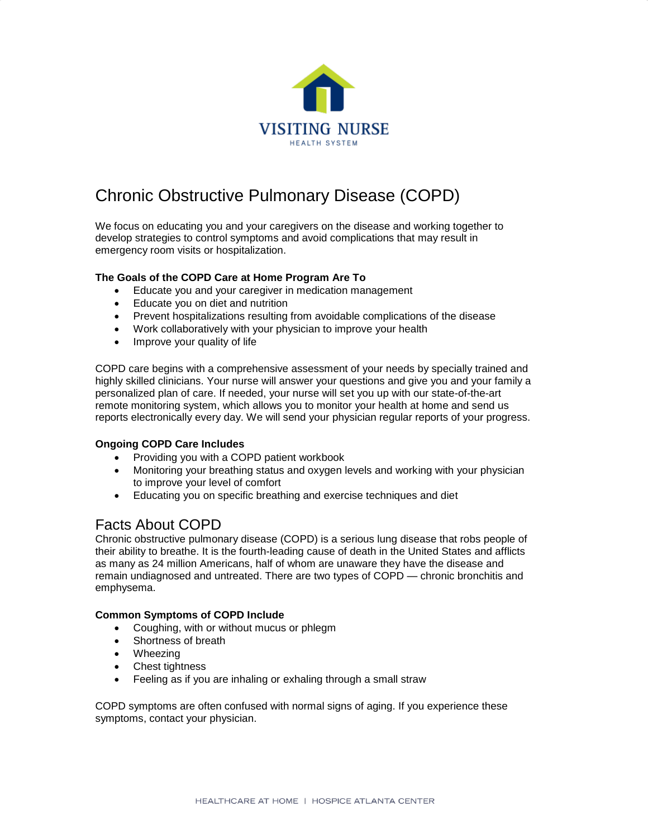

# Chronic Obstructive Pulmonary Disease (COPD)

We focus on educating you and your caregivers on the disease and working together to develop strategies to control symptoms and avoid complications that may result in emergency room visits or hospitalization.

### **The Goals of the COPD Care at Home Program Are To**

- Educate you and your caregiver in medication management
- Educate you on diet and nutrition
- Prevent hospitalizations resulting from avoidable complications of the disease
- Work collaboratively with your physician to improve your health
- Improve your quality of life

COPD care begins with a comprehensive assessment of your needs by specially trained and highly skilled clinicians. Your nurse will answer your questions and give you and your family a personalized plan of care. If needed, your nurse will set you up with our state-of-the-art remote monitoring system, which allows you to monitor your health at home and send us reports electronically every day. We will send your physician regular reports of your progress.

### **Ongoing COPD Care Includes**

- Providing you with a COPD patient workbook
- Monitoring your breathing status and oxygen levels and working with your physician to improve your level of comfort
- Educating you on specific breathing and exercise techniques and diet

## Facts About COPD

Chronic obstructive pulmonary disease (COPD) is a serious lung disease that robs people of their ability to breathe. It is the fourth-leading cause of death in the United States and afflicts as many as 24 million Americans, half of whom are unaware they have the disease and remain undiagnosed and untreated. There are two types of COPD — chronic bronchitis and emphysema.

### **Common Symptoms of COPD Include**

- Coughing, with or without mucus or phlegm
- Shortness of breath
- Wheezing
- Chest tightness
- Feeling as if you are inhaling or exhaling through a small straw

COPD symptoms are often confused with normal signs of aging. If you experience these symptoms, contact your physician.